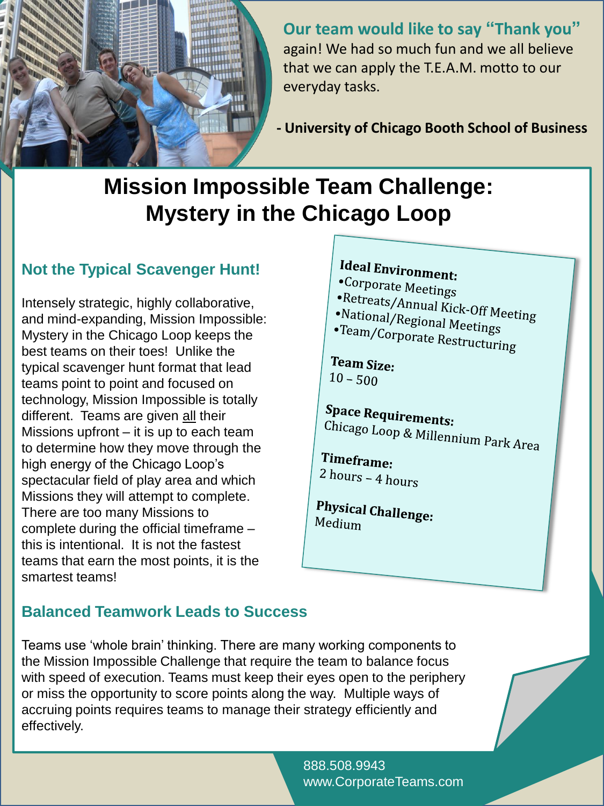

**Our team would like to say "Thank you"** again! We had so much fun and we all believe that we can apply the T.E.A.M. motto to our everyday tasks.

**- University of Chicago Booth School of Business**

# **Mission Impossible Team Challenge: Mystery in the Chicago Loop**

### **Not the Typical Scavenger Hunt!**

Intensely strategic, highly collaborative, and mind-expanding, Mission Impossible: Mystery in the Chicago Loop keeps the best teams on their toes! Unlike the typical scavenger hunt format that lead teams point to point and focused on technology, Mission Impossible is totally different. Teams are given all their Missions upfront – it is up to each team to determine how they move through the high energy of the Chicago Loop's spectacular field of play area and which Missions they will attempt to complete. There are too many Missions to complete during the official timeframe – this is intentional. It is not the fastest teams that earn the most points, it is the smartest teams!

## **Ideal Environment:** •Corporate Meetings •Retreats/Annual Kick-Off Meeting<br>•National/Regional Meeting •National/Regional Meetings<br>•Team/Corporat. Peetings •Team/Corporate Restructuring Team Size:  $10 - 500$ **Space Requirements:** Chicago Loop & Millennium Park Area Timeframe:  $2 hours - 4 hours$ **Physical Challenge:**<br>Medium Medium

### **Balanced Teamwork Leads to Success**

Teams use 'whole brain' thinking. There are many working components to the Mission Impossible Challenge that require the team to balance focus with speed of execution. Teams must keep their eyes open to the periphery or miss the opportunity to score points along the way. Multiple ways of accruing points requires teams to manage their strategy efficiently and effectively.

> 888.508.9943 www.CorporateTeams.com